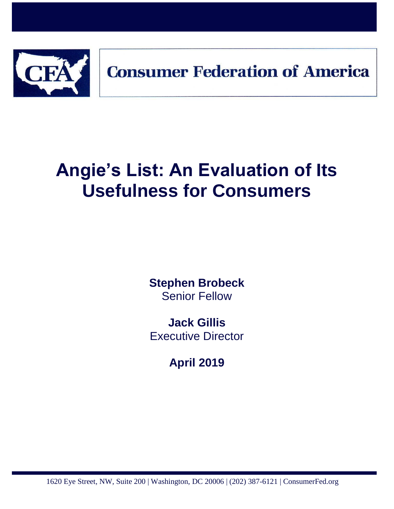

# **Angie's List: An Evaluation of Its Usefulness for Consumers**

**Stephen Brobeck** Senior Fellow

**Jack Gillis** Executive Director

**April 2019**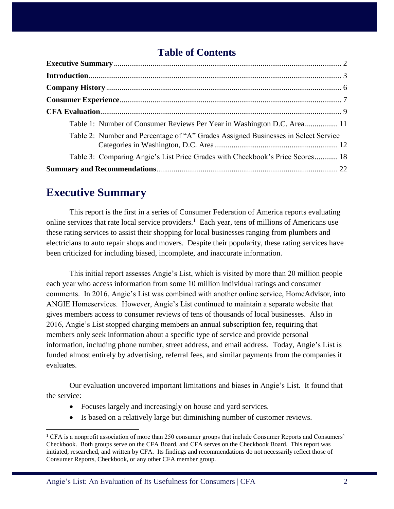## **Table of Contents**

| Table 1: Number of Consumer Reviews Per Year in Washington D.C. Area 11            |
|------------------------------------------------------------------------------------|
| Table 2: Number and Percentage of "A" Grades Assigned Businesses in Select Service |
| Table 3: Comparing Angie's List Price Grades with Checkbook's Price Scores 18      |
|                                                                                    |

# <span id="page-1-0"></span>**Executive Summary**

 $\overline{a}$ 

This report is the first in a series of Consumer Federation of America reports evaluating online services that rate local service providers.<sup>1</sup> Each year, tens of millions of Americans use these rating services to assist their shopping for local businesses ranging from plumbers and electricians to auto repair shops and movers. Despite their popularity, these rating services have been criticized for including biased, incomplete, and inaccurate information.

This initial report assesses Angie's List, which is visited by more than 20 million people each year who access information from some 10 million individual ratings and consumer comments. In 2016, Angie's List was combined with another online service, HomeAdvisor, into ANGIE Homeservices. However, Angie's List continued to maintain a separate website that gives members access to consumer reviews of tens of thousands of local businesses. Also in 2016, Angie's List stopped charging members an annual subscription fee, requiring that members only seek information about a specific type of service and provide personal information, including phone number, street address, and email address. Today, Angie's List is funded almost entirely by advertising, referral fees, and similar payments from the companies it evaluates.

Our evaluation uncovered important limitations and biases in Angie's List. It found that the service:

- Focuses largely and increasingly on house and yard services.
- Is based on a relatively large but diminishing number of customer reviews.

<sup>&</sup>lt;sup>1</sup> CFA is a nonprofit association of more than 250 consumer groups that include Consumer Reports and Consumers' Checkbook. Both groups serve on the CFA Board, and CFA serves on the Checkbook Board. This report was initiated, researched, and written by CFA. Its findings and recommendations do not necessarily reflect those of Consumer Reports, Checkbook, or any other CFA member group.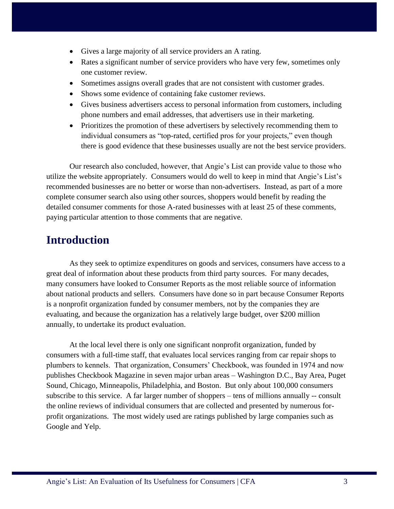- Gives a large majority of all service providers an A rating.
- Rates a significant number of service providers who have very few, sometimes only one customer review.
- Sometimes assigns overall grades that are not consistent with customer grades.
- Shows some evidence of containing fake customer reviews.
- Gives business advertisers access to personal information from customers, including phone numbers and email addresses, that advertisers use in their marketing.
- Prioritizes the promotion of these advertisers by selectively recommending them to individual consumers as "top-rated, certified pros for your projects," even though there is good evidence that these businesses usually are not the best service providers.

Our research also concluded, however, that Angie's List can provide value to those who utilize the website appropriately. Consumers would do well to keep in mind that Angie's List's recommended businesses are no better or worse than non-advertisers. Instead, as part of a more complete consumer search also using other sources, shoppers would benefit by reading the detailed consumer comments for those A-rated businesses with at least 25 of these comments, paying particular attention to those comments that are negative.

# <span id="page-2-0"></span>**Introduction**

As they seek to optimize expenditures on goods and services, consumers have access to a great deal of information about these products from third party sources. For many decades, many consumers have looked to Consumer Reports as the most reliable source of information about national products and sellers. Consumers have done so in part because Consumer Reports is a nonprofit organization funded by consumer members, not by the companies they are evaluating, and because the organization has a relatively large budget, over \$200 million annually, to undertake its product evaluation.

At the local level there is only one significant nonprofit organization, funded by consumers with a full-time staff, that evaluates local services ranging from car repair shops to plumbers to kennels. That organization, Consumers' Checkbook, was founded in 1974 and now publishes Checkbook Magazine in seven major urban areas – Washington D.C., Bay Area, Puget Sound, Chicago, Minneapolis, Philadelphia, and Boston. But only about 100,000 consumers subscribe to this service. A far larger number of shoppers – tens of millions annually -- consult the online reviews of individual consumers that are collected and presented by numerous forprofit organizations. The most widely used are ratings published by large companies such as Google and Yelp.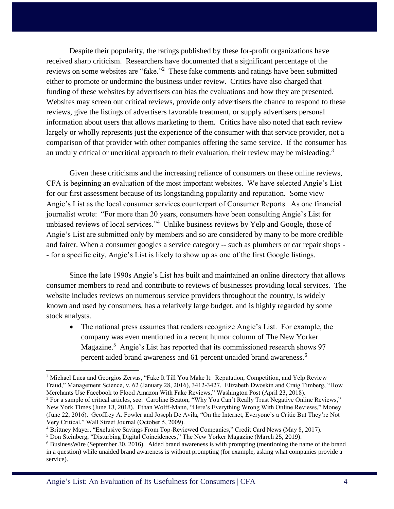Despite their popularity, the ratings published by these for-profit organizations have received sharp criticism. Researchers have documented that a significant percentage of the reviews on some websites are "fake."<sup>2</sup> These fake comments and ratings have been submitted either to promote or undermine the business under review. Critics have also charged that funding of these websites by advertisers can bias the evaluations and how they are presented. Websites may screen out critical reviews, provide only advertisers the chance to respond to these reviews, give the listings of advertisers favorable treatment, or supply advertisers personal information about users that allows marketing to them. Critics have also noted that each review largely or wholly represents just the experience of the consumer with that service provider, not a comparison of that provider with other companies offering the same service. If the consumer has an unduly critical or uncritical approach to their evaluation, their review may be misleading.<sup>3</sup>

Given these criticisms and the increasing reliance of consumers on these online reviews, CFA is beginning an evaluation of the most important websites. We have selected Angie's List for our first assessment because of its longstanding popularity and reputation. Some view Angie's List as the local consumer services counterpart of Consumer Reports. As one financial journalist wrote: "For more than 20 years, consumers have been consulting Angie's List for unbiased reviews of local services."<sup>4</sup> Unlike business reviews by Yelp and Google, those of Angie's List are submitted only by members and so are considered by many to be more credible and fairer. When a consumer googles a service category -- such as plumbers or car repair shops - - for a specific city, Angie's List is likely to show up as one of the first Google listings.

Since the late 1990s Angie's List has built and maintained an online directory that allows consumer members to read and contribute to reviews of businesses providing local services. The website includes reviews on numerous service providers throughout the country, is widely known and used by consumers, has a relatively large budget, and is highly regarded by some stock analysts.

 The national press assumes that readers recognize Angie's List. For example, the company was even mentioned in a recent humor column of The New Yorker Magazine.<sup>5</sup> Angie's List has reported that its commissioned research shows 97 percent aided brand awareness and 61 percent unaided brand awareness.<sup>6</sup>

<sup>&</sup>lt;sup>2</sup> Michael Luca and Georgios Zervas, "Fake It Till You Make It: Reputation, Competition, and Yelp Review Fraud," Management Science, v. 62 (January 28, 2016), 3412-3427. Elizabeth Dwoskin and Craig Timberg, "How Merchants Use Facebook to Flood Amazon With Fake Reviews," Washington Post (April 23, 2018).

<sup>&</sup>lt;sup>3</sup> For a sample of critical articles, see: Caroline Beaton, "Why You Can't Really Trust Negative Online Reviews," New York Times (June 13, 2018). Ethan Wolff-Mann, "Here's Everything Wrong With Online Reviews," Money (June 22, 2016). Geoffrey A. Fowler and Joseph De Avila, "On the Internet, Everyone's a Critic But They're Not Very Critical," Wall Street Journal (October 5, 2009).

<sup>4</sup> Brittney Mayer, "Exclusive Savings From Top-Reviewed Companies," Credit Card News (May 8, 2017).

<sup>5</sup> Don Steinberg, "Disturbing Digital Coincidences," The New Yorker Magazine (March 25, 2019).

<sup>6</sup> BusinessWire (September 30, 2016). Aided brand awareness is with prompting (mentioning the name of the brand in a question) while unaided brand awareness is without prompting (for example, asking what companies provide a service).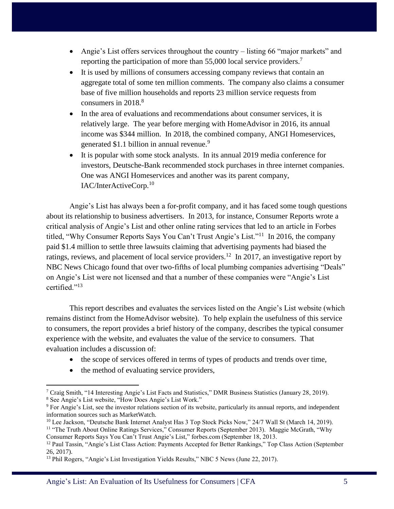- Angie's List offers services throughout the country listing 66 "major markets" and reporting the participation of more than 55,000 local service providers.<sup>7</sup>
- It is used by millions of consumers accessing company reviews that contain an aggregate total of some ten million comments. The company also claims a consumer base of five million households and reports 23 million service requests from consumers in 2018.<sup>8</sup>
- In the area of evaluations and recommendations about consumer services, it is relatively large. The year before merging with HomeAdvisor in 2016, its annual income was \$344 million. In 2018, the combined company, ANGI Homeservices, generated  $$1.1$  billion in annual revenue.<sup>9</sup>
- It is popular with some stock analysts. In its annual 2019 media conference for investors, Deutsche-Bank recommended stock purchases in three internet companies. One was ANGI Homeservices and another was its parent company, IAC/InterActiveCorp.<sup>10</sup>

Angie's List has always been a for-profit company, and it has faced some tough questions about its relationship to business advertisers. In 2013, for instance, Consumer Reports wrote a critical analysis of Angie's List and other online rating services that led to an article in Forbes titled, "Why Consumer Reports Says You Can't Trust Angie's List."<sup>11</sup> In 2016, the company paid \$1.4 million to settle three lawsuits claiming that advertising payments had biased the ratings, reviews, and placement of local service providers.<sup>12</sup> In 2017, an investigative report by NBC News Chicago found that over two-fifths of local plumbing companies advertising "Deals" on Angie's List were not licensed and that a number of these companies were "Angie's List certified."<sup>13</sup>

This report describes and evaluates the services listed on the Angie's List website (which remains distinct from the HomeAdvisor website). To help explain the usefulness of this service to consumers, the report provides a brief history of the company, describes the typical consumer experience with the website, and evaluates the value of the service to consumers. That evaluation includes a discussion of:

- the scope of services offered in terms of types of products and trends over time,
- the method of evaluating service providers,

 $\overline{a}$ <sup>7</sup> Craig Smith, "14 Interesting Angie's List Facts and Statistics," DMR Business Statistics (January 28, 2019). <sup>8</sup> See Angie's List website, "How Does Angie's List Work."

<sup>9</sup> For Angie's List, see the investor relations section of its website, particularly its annual reports, and independent information sources such as MarketWatch.

<sup>&</sup>lt;sup>10</sup> Lee Jackson, "Deutsche Bank Internet Analyst Has 3 Top Stock Picks Now," 24/7 Wall St (March 14, 2019).

<sup>11</sup> "The Truth About Online Ratings Services," Consumer Reports (September 2013). Maggie McGrath, "Why Consumer Reports Says You Can't Trust Angie's List," forbes.com (September 18, 2013.

<sup>&</sup>lt;sup>12</sup> Paul Tassin, "Angie's List Class Action: Payments Accepted for Better Rankings," Top Class Action (September 26, 2017).

<sup>&</sup>lt;sup>13</sup> Phil Rogers, "Angie's List Investigation Yields Results," NBC 5 News (June 22, 2017).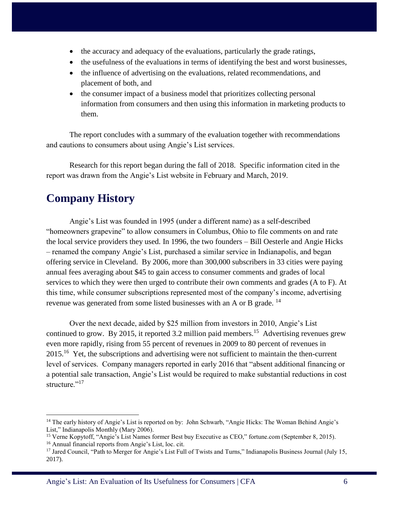- the accuracy and adequacy of the evaluations, particularly the grade ratings,
- the usefulness of the evaluations in terms of identifying the best and worst businesses,
- the influence of advertising on the evaluations, related recommendations, and placement of both, and
- the consumer impact of a business model that prioritizes collecting personal information from consumers and then using this information in marketing products to them.

The report concludes with a summary of the evaluation together with recommendations and cautions to consumers about using Angie's List services.

Research for this report began during the fall of 2018. Specific information cited in the report was drawn from the Angie's List website in February and March, 2019.

# <span id="page-5-0"></span>**Company History**

 $\overline{a}$ 

Angie's List was founded in 1995 (under a different name) as a self-described "homeowners grapevine" to allow consumers in Columbus, Ohio to file comments on and rate the local service providers they used. In 1996, the two founders – Bill Oesterle and Angie Hicks – renamed the company Angie's List, purchased a similar service in Indianapolis, and began offering service in Cleveland. By 2006, more than 300,000 subscribers in 33 cities were paying annual fees averaging about \$45 to gain access to consumer comments and grades of local services to which they were then urged to contribute their own comments and grades (A to F). At this time, while consumer subscriptions represented most of the company's income, advertising revenue was generated from some listed businesses with an A or B grade.<sup>14</sup>

Over the next decade, aided by \$25 million from investors in 2010, Angie's List continued to grow. By 2015, it reported 3.2 million paid members.<sup>15</sup> Advertising revenues grew even more rapidly, rising from 55 percent of revenues in 2009 to 80 percent of revenues in 2015.<sup>16</sup> Yet, the subscriptions and advertising were not sufficient to maintain the then-current level of services. Company managers reported in early 2016 that "absent additional financing or a potential sale transaction, Angie's List would be required to make substantial reductions in cost structure."<sup>17</sup>

<sup>&</sup>lt;sup>14</sup> The early history of Angie's List is reported on by: John Schwarb, "Angie Hicks: The Woman Behind Angie's List," Indianapolis Monthly (Mary 2006).

<sup>15</sup> Verne Kopytoff, "Angie's List Names former Best buy Executive as CEO," fortune.com (September 8, 2015). <sup>16</sup> Annual financial reports from Angie's List, loc. cit.

<sup>&</sup>lt;sup>17</sup> Jared Council, "Path to Merger for Angie's List Full of Twists and Turns," Indianapolis Business Journal (July 15, 2017).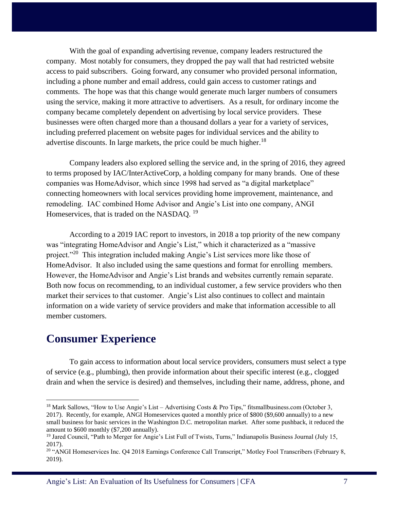With the goal of expanding advertising revenue, company leaders restructured the company. Most notably for consumers, they dropped the pay wall that had restricted website access to paid subscribers. Going forward, any consumer who provided personal information, including a phone number and email address, could gain access to customer ratings and comments. The hope was that this change would generate much larger numbers of consumers using the service, making it more attractive to advertisers. As a result, for ordinary income the company became completely dependent on advertising by local service providers. These businesses were often charged more than a thousand dollars a year for a variety of services, including preferred placement on website pages for individual services and the ability to advertise discounts. In large markets, the price could be much higher.<sup>18</sup>

Company leaders also explored selling the service and, in the spring of 2016, they agreed to terms proposed by IAC/InterActiveCorp, a holding company for many brands. One of these companies was HomeAdvisor, which since 1998 had served as "a digital marketplace" connecting homeowners with local services providing home improvement, maintenance, and remodeling. IAC combined Home Advisor and Angie's List into one company, ANGI Homeservices, that is traded on the NASDAQ.<sup>19</sup>

According to a 2019 IAC report to investors, in 2018 a top priority of the new company was "integrating HomeAdvisor and Angie's List," which it characterized as a "massive project."<sup>20</sup> This integration included making Angie's List services more like those of HomeAdvisor. It also included using the same questions and format for enrolling members. However, the HomeAdvisor and Angie's List brands and websites currently remain separate. Both now focus on recommending, to an individual customer, a few service providers who then market their services to that customer. Angie's List also continues to collect and maintain information on a wide variety of service providers and make that information accessible to all member customers.

## <span id="page-6-0"></span>**Consumer Experience**

 $\overline{a}$ 

To gain access to information about local service providers, consumers must select a type of service (e.g., plumbing), then provide information about their specific interest (e.g., clogged drain and when the service is desired) and themselves, including their name, address, phone, and

<sup>&</sup>lt;sup>18</sup> Mark Sallows, "How to Use Angie's List – Advertising Costs & Pro Tips," fitsmallbusiness.com (October 3, 2017). Recently, for example, ANGI Homeservices quoted a monthly price of \$800 (\$9,600 annually) to a new small business for basic services in the Washington D.C. metropolitan market. After some pushback, it reduced the amount to \$600 monthly (\$7,200 annually).

<sup>&</sup>lt;sup>19</sup> Jared Council, "Path to Merger for Angie's List Full of Twists, Turns," Indianapolis Business Journal (July 15, 2017).

<sup>&</sup>lt;sup>20</sup> "ANGI Homeservices Inc. Q4 2018 Earnings Conference Call Transcript," Motley Fool Transcribers (February 8, 2019).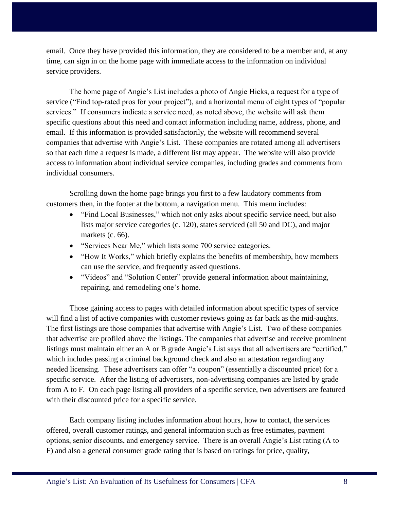email. Once they have provided this information, they are considered to be a member and, at any time, can sign in on the home page with immediate access to the information on individual service providers.

The home page of Angie's List includes a photo of Angie Hicks, a request for a type of service ("Find top-rated pros for your project"), and a horizontal menu of eight types of "popular services." If consumers indicate a service need, as noted above, the website will ask them specific questions about this need and contact information including name, address, phone, and email. If this information is provided satisfactorily, the website will recommend several companies that advertise with Angie's List. These companies are rotated among all advertisers so that each time a request is made, a different list may appear. The website will also provide access to information about individual service companies, including grades and comments from individual consumers.

Scrolling down the home page brings you first to a few laudatory comments from customers then, in the footer at the bottom, a navigation menu. This menu includes:

- "Find Local Businesses," which not only asks about specific service need, but also lists major service categories (c. 120), states serviced (all 50 and DC), and major markets (c. 66).
- "Services Near Me," which lists some 700 service categories.
- "How It Works," which briefly explains the benefits of membership, how members can use the service, and frequently asked questions.
- "Videos" and "Solution Center" provide general information about maintaining, repairing, and remodeling one's home.

Those gaining access to pages with detailed information about specific types of service will find a list of active companies with customer reviews going as far back as the mid-aughts. The first listings are those companies that advertise with Angie's List. Two of these companies that advertise are profiled above the listings. The companies that advertise and receive prominent listings must maintain either an A or B grade Angie's List says that all advertisers are "certified," which includes passing a criminal background check and also an attestation regarding any needed licensing. These advertisers can offer "a coupon" (essentially a discounted price) for a specific service. After the listing of advertisers, non-advertising companies are listed by grade from A to F. On each page listing all providers of a specific service, two advertisers are featured with their discounted price for a specific service.

Each company listing includes information about hours, how to contact, the services offered, overall customer ratings, and general information such as free estimates, payment options, senior discounts, and emergency service. There is an overall Angie's List rating (A to F) and also a general consumer grade rating that is based on ratings for price, quality,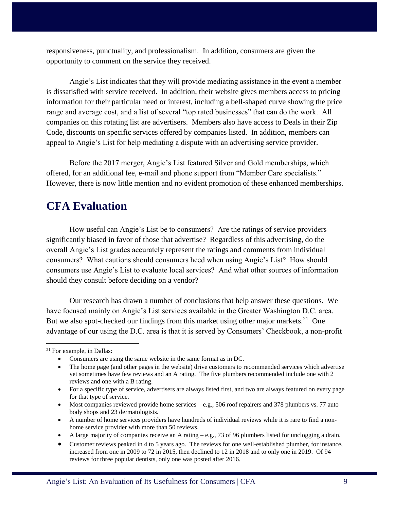responsiveness, punctuality, and professionalism. In addition, consumers are given the opportunity to comment on the service they received.

Angie's List indicates that they will provide mediating assistance in the event a member is dissatisfied with service received. In addition, their website gives members access to pricing information for their particular need or interest, including a bell-shaped curve showing the price range and average cost, and a list of several "top rated businesses" that can do the work. All companies on this rotating list are advertisers. Members also have access to Deals in their Zip Code, discounts on specific services offered by companies listed. In addition, members can appeal to Angie's List for help mediating a dispute with an advertising service provider.

Before the 2017 merger, Angie's List featured Silver and Gold memberships, which offered, for an additional fee, e-mail and phone support from "Member Care specialists." However, there is now little mention and no evident promotion of these enhanced memberships.

# <span id="page-8-0"></span>**CFA Evaluation**

How useful can Angie's List be to consumers? Are the ratings of service providers significantly biased in favor of those that advertise? Regardless of this advertising, do the overall Angie's List grades accurately represent the ratings and comments from individual consumers? What cautions should consumers heed when using Angie's List? How should consumers use Angie's List to evaluate local services? And what other sources of information should they consult before deciding on a vendor?

Our research has drawn a number of conclusions that help answer these questions. We have focused mainly on Angie's List services available in the Greater Washington D.C. area. But we also spot-checked our findings from this market using other major markets.<sup>21</sup> One advantage of our using the D.C. area is that it is served by Consumers' Checkbook, a non-profit

- For a specific type of service, advertisers are always listed first, and two are always featured on every page for that type of service.
- $ext{Most companies reviewed provide home services} e.g., 506 roof repairers and 378 plumbers vs. 77 auto.}$ body shops and 23 dermatologists.
- A number of home services providers have hundreds of individual reviews while it is rare to find a nonhome service provider with more than 50 reviews.
- A large majority of companies receive an A rating e.g., 73 of 96 plumbers listed for unclogging a drain.
- Customer reviews peaked in 4 to 5 years ago. The reviews for one well-established plumber, for instance, increased from one in 2009 to 72 in 2015, then declined to 12 in 2018 and to only one in 2019. Of 94 reviews for three popular dentists, only one was posted after 2016.

<sup>&</sup>lt;sup>21</sup> For example, in Dallas:

Consumers are using the same website in the same format as in DC.

<sup>•</sup> The home page (and other pages in the website) drive customers to recommended services which advertise yet sometimes have few reviews and an A rating. The five plumbers recommended include one with 2 reviews and one with a B rating.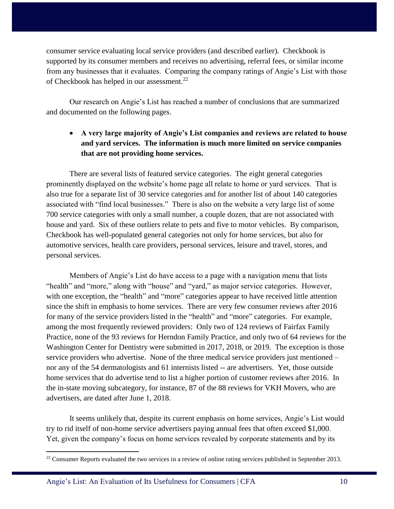consumer service evaluating local service providers (and described earlier). Checkbook is supported by its consumer members and receives no advertising, referral fees, or similar income from any businesses that it evaluates. Comparing the company ratings of Angie's List with those of Checkbook has helped in our assessment.<sup>22</sup>

Our research on Angie's List has reached a number of conclusions that are summarized and documented on the following pages.

## **A very large majority of Angie's List companies and reviews are related to house and yard services. The information is much more limited on service companies that are not providing home services.**

There are several lists of featured service categories. The eight general categories prominently displayed on the website's home page all relate to home or yard services. That is also true for a separate list of 30 service categories and for another list of about 140 categories associated with "find local businesses." There is also on the website a very large list of some 700 service categories with only a small number, a couple dozen, that are not associated with house and yard. Six of these outliers relate to pets and five to motor vehicles. By comparison, Checkbook has well-populated general categories not only for home services, but also for automotive services, health care providers, personal services, leisure and travel, stores, and personal services.

Members of Angie's List do have access to a page with a navigation menu that lists "health" and "more," along with "house" and "yard," as major service categories. However, with one exception, the "health" and "more" categories appear to have received little attention since the shift in emphasis to home services. There are very few consumer reviews after 2016 for many of the service providers listed in the "health" and "more" categories. For example, among the most frequently reviewed providers: Only two of 124 reviews of Fairfax Family Practice, none of the 93 reviews for Herndon Family Practice, and only two of 64 reviews for the Washington Center for Dentistry were submitted in 2017, 2018, or 2019. The exception is those service providers who advertise. None of the three medical service providers just mentioned – nor any of the 54 dermatologists and 61 internists listed -- are advertisers. Yet, those outside home services that do advertise tend to list a higher portion of customer reviews after 2016. In the in-state moving subcategory, for instance, 87 of the 88 reviews for VKH Movers, who are advertisers, are dated after June 1, 2018.

It seems unlikely that, despite its current emphasis on home services, Angie's List would try to rid itself of non-home service advertisers paying annual fees that often exceed \$1,000. Yet, given the company's focus on home services revealed by corporate statements and by its

<sup>&</sup>lt;sup>22</sup> Consumer Reports evaluated the two services in a review of online rating services published in September 2013.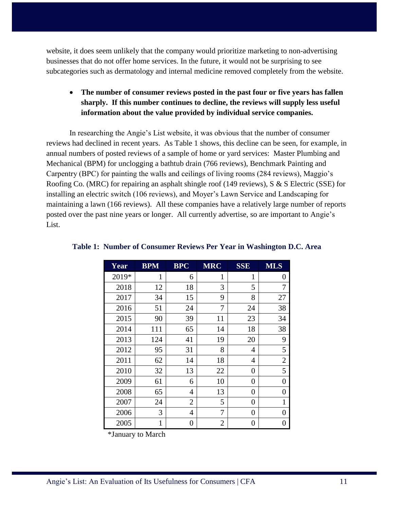website, it does seem unlikely that the company would prioritize marketing to non-advertising businesses that do not offer home services. In the future, it would not be surprising to see subcategories such as dermatology and internal medicine removed completely from the website.

## **The number of consumer reviews posted in the past four or five years has fallen sharply. If this number continues to decline, the reviews will supply less useful information about the value provided by individual service companies.**

In researching the Angie's List website, it was obvious that the number of consumer reviews had declined in recent years. As Table 1 shows, this decline can be seen, for example, in annual numbers of posted reviews of a sample of home or yard services: Master Plumbing and Mechanical (BPM) for unclogging a bathtub drain (766 reviews), Benchmark Painting and Carpentry (BPC) for painting the walls and ceilings of living rooms (284 reviews), Maggio's Roofing Co. (MRC) for repairing an asphalt shingle roof (149 reviews), S & S Electric (SSE) for installing an electric switch (106 reviews), and Moyer's Lawn Service and Landscaping for maintaining a lawn (166 reviews). All these companies have a relatively large number of reports posted over the past nine years or longer. All currently advertise, so are important to Angie's List.

| Year  | <b>BPM</b>   | <b>BPC</b>     | <b>MRC</b>   | <b>SSE</b>     | <b>MLS</b>     |
|-------|--------------|----------------|--------------|----------------|----------------|
| 2019* | 1            | 6              | $\mathbf{1}$ | 1              | 0              |
| 2018  | 12           | 18             | 3            | 5              | 7              |
| 2017  | 34           | 15             | 9            | 8              | 27             |
| 2016  | 51           | 24             | 7            | 24             | 38             |
| 2015  | 90           | 39             | 11           | 23             | 34             |
| 2014  | 111          | 65             | 14           | 18             | 38             |
| 2013  | 124          | 41             | 19           | 20             | 9              |
| 2012  | 95           | 31             | 8            | 4              | 5              |
| 2011  | 62           | 14             | 18           | 4              | $\overline{2}$ |
| 2010  | 32           | 13             | $22\,$       | $\overline{0}$ | 5              |
| 2009  | 61           | 6              | 10           | 0              | 0              |
| 2008  | 65           | 4              | 13           | 0              | 0              |
| 2007  | 24           | $\overline{2}$ | 5            | 0              | $\mathbf{1}$   |
| 2006  | 3            | 4              | 7            | 0              | $\overline{0}$ |
| 2005  | $\mathbf{1}$ | 0              | 2            | 0              | 0              |

#### <span id="page-10-0"></span>**Table 1: Number of Consumer Reviews Per Year in Washington D.C. Area**

\*January to March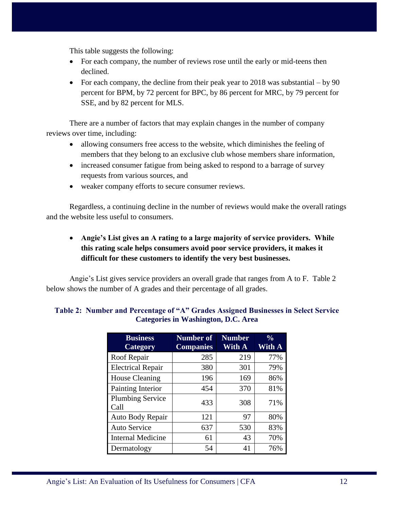This table suggests the following:

- For each company, the number of reviews rose until the early or mid-teens then declined.
- For each company, the decline from their peak year to  $2018$  was substantial by 90 percent for BPM, by 72 percent for BPC, by 86 percent for MRC, by 79 percent for SSE, and by 82 percent for MLS.

There are a number of factors that may explain changes in the number of company reviews over time, including:

- allowing consumers free access to the website, which diminishes the feeling of members that they belong to an exclusive club whose members share information,
- increased consumer fatigue from being asked to respond to a barrage of survey requests from various sources, and
- weaker company efforts to secure consumer reviews.

Regardless, a continuing decline in the number of reviews would make the overall ratings and the website less useful to consumers.

## **Angie's List gives an A rating to a large majority of service providers. While this rating scale helps consumers avoid poor service providers, it makes it difficult for these customers to identify the very best businesses.**

Angie's List gives service providers an overall grade that ranges from A to F. Table 2 below shows the number of A grades and their percentage of all grades.

| <b>Business</b><br>Category     | <b>Number of</b><br><b>Companies</b> | <b>Number</b><br>With A | $\frac{0}{0}$<br>With A |
|---------------------------------|--------------------------------------|-------------------------|-------------------------|
| Roof Repair                     | 285                                  | 219                     | 77%                     |
| <b>Electrical Repair</b>        | 380                                  | 301                     | 79%                     |
| <b>House Cleaning</b>           | 196                                  | 169                     | 86%                     |
| Painting Interior               | 454                                  | 370                     | 81%                     |
| <b>Plumbing Service</b><br>Call | 433                                  | 308                     | 71%                     |
| Auto Body Repair                | 121                                  | 97                      | 80%                     |
| <b>Auto Service</b>             | 637                                  | 530                     | 83%                     |
| <b>Internal Medicine</b>        | 61                                   | 43                      | 70%                     |
| Dermatology                     | 54                                   | 41                      | 76%                     |

#### <span id="page-11-0"></span>**Table 2: Number and Percentage of "A" Grades Assigned Businesses in Select Service Categories in Washington, D.C. Area**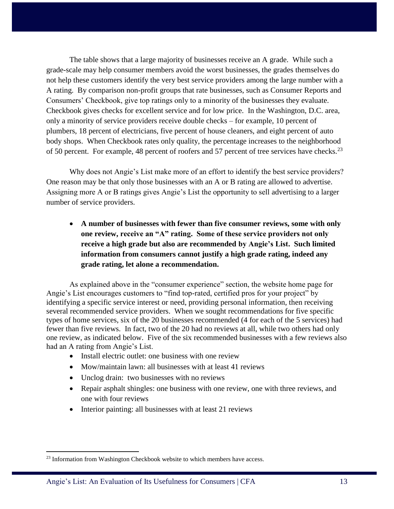The table shows that a large majority of businesses receive an A grade. While such a grade-scale may help consumer members avoid the worst businesses, the grades themselves do not help these customers identify the very best service providers among the large number with a A rating. By comparison non-profit groups that rate businesses, such as Consumer Reports and Consumers' Checkbook, give top ratings only to a minority of the businesses they evaluate. Checkbook gives checks for excellent service and for low price. In the Washington, D.C. area, only a minority of service providers receive double checks – for example, 10 percent of plumbers, 18 percent of electricians, five percent of house cleaners, and eight percent of auto body shops. When Checkbook rates only quality, the percentage increases to the neighborhood of 50 percent. For example, 48 percent of roofers and 57 percent of tree services have checks.<sup>23</sup>

Why does not Angie's List make more of an effort to identify the best service providers? One reason may be that only those businesses with an A or B rating are allowed to advertise. Assigning more A or B ratings gives Angie's List the opportunity to sell advertising to a larger number of service providers.

 **A number of businesses with fewer than five consumer reviews, some with only one review, receive an "A" rating. Some of these service providers not only receive a high grade but also are recommended by Angie's List. Such limited information from consumers cannot justify a high grade rating, indeed any grade rating, let alone a recommendation.** 

As explained above in the "consumer experience" section, the website home page for Angie's List encourages customers to "find top-rated, certified pros for your project" by identifying a specific service interest or need, providing personal information, then receiving several recommended service providers. When we sought recommendations for five specific types of home services, six of the 20 businesses recommended (4 for each of the 5 services) had fewer than five reviews. In fact, two of the 20 had no reviews at all, while two others had only one review, as indicated below. Five of the six recommended businesses with a few reviews also had an A rating from Angie's List.

- Install electric outlet: one business with one review
- Mow/maintain lawn: all businesses with at least 41 reviews
- Unclog drain: two businesses with no reviews
- Repair asphalt shingles: one business with one review, one with three reviews, and one with four reviews
- Interior painting: all businesses with at least 21 reviews

<sup>&</sup>lt;sup>23</sup> Information from Washington Checkbook website to which members have access.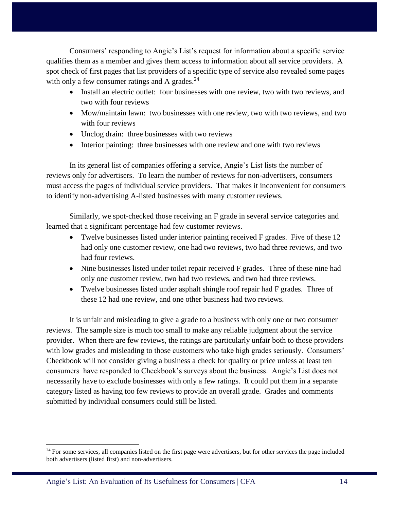Consumers' responding to Angie's List's request for information about a specific service qualifies them as a member and gives them access to information about all service providers. A spot check of first pages that list providers of a specific type of service also revealed some pages with only a few consumer ratings and A grades. $24$ 

- Install an electric outlet: four businesses with one review, two with two reviews, and two with four reviews
- Mow/maintain lawn: two businesses with one review, two with two reviews, and two with four reviews
- Unclog drain: three businesses with two reviews
- Interior painting: three businesses with one review and one with two reviews

In its general list of companies offering a service, Angie's List lists the number of reviews only for advertisers. To learn the number of reviews for non-advertisers, consumers must access the pages of individual service providers. That makes it inconvenient for consumers to identify non-advertising A-listed businesses with many customer reviews.

Similarly, we spot-checked those receiving an F grade in several service categories and learned that a significant percentage had few customer reviews.

- Twelve businesses listed under interior painting received F grades. Five of these 12 had only one customer review, one had two reviews, two had three reviews, and two had four reviews.
- Nine businesses listed under toilet repair received F grades. Three of these nine had only one customer review, two had two reviews, and two had three reviews.
- Twelve businesses listed under asphalt shingle roof repair had F grades. Three of these 12 had one review, and one other business had two reviews.

It is unfair and misleading to give a grade to a business with only one or two consumer reviews. The sample size is much too small to make any reliable judgment about the service provider. When there are few reviews, the ratings are particularly unfair both to those providers with low grades and misleading to those customers who take high grades seriously. Consumers' Checkbook will not consider giving a business a check for quality or price unless at least ten consumers have responded to Checkbook's surveys about the business. Angie's List does not necessarily have to exclude businesses with only a few ratings. It could put them in a separate category listed as having too few reviews to provide an overall grade. Grades and comments submitted by individual consumers could still be listed.

 $24$  For some services, all companies listed on the first page were advertisers, but for other services the page included both advertisers (listed first) and non-advertisers.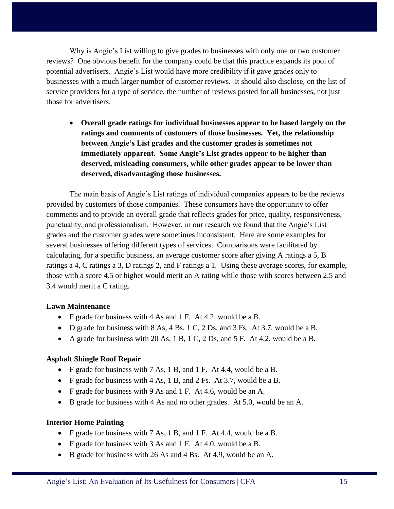Why is Angie's List willing to give grades to businesses with only one or two customer reviews? One obvious benefit for the company could be that this practice expands its pool of potential advertisers. Angie's List would have more credibility if it gave grades only to businesses with a much larger number of customer reviews. It should also disclose, on the list of service providers for a type of service, the number of reviews posted for all businesses, not just those for advertisers.

 **Overall grade ratings for individual businesses appear to be based largely on the ratings and comments of customers of those businesses. Yet, the relationship between Angie's List grades and the customer grades is sometimes not immediately apparent. Some Angie's List grades appear to be higher than deserved, misleading consumers, while other grades appear to be lower than deserved, disadvantaging those businesses.** 

The main basis of Angie's List ratings of individual companies appears to be the reviews provided by customers of those companies. These consumers have the opportunity to offer comments and to provide an overall grade that reflects grades for price, quality, responsiveness, punctuality, and professionalism. However, in our research we found that the Angie's List grades and the customer grades were sometimes inconsistent. Here are some examples for several businesses offering different types of services. Comparisons were facilitated by calculating, for a specific business, an average customer score after giving A ratings a 5, B ratings a 4, C ratings a 3, D ratings 2, and F ratings a 1. Using these average scores, for example, those with a score 4.5 or higher would merit an A rating while those with scores between 2.5 and 3.4 would merit a C rating.

#### **Lawn Maintenance**

- F grade for business with 4 As and 1 F. At 4.2, would be a B.
- $\bullet$  D grade for business with 8 As, 4 Bs, 1 C, 2 Ds, and 3 Fs. At 3.7, would be a B.
- A grade for business with 20 As,  $1 \text{ B}$ ,  $1 \text{ C}$ ,  $2 \text{ Ds}$ , and  $5 \text{ F}$ . At 4.2, would be a B.

#### **Asphalt Shingle Roof Repair**

- F grade for business with 7 As, 1 B, and 1 F. At 4.4, would be a B.
- F grade for business with 4 As, 1 B, and 2 Fs. At 3.7, would be a B.
- F grade for business with 9 As and 1 F. At 4.6, would be an A.
- B grade for business with 4 As and no other grades. At 5.0, would be an A.

#### **Interior Home Painting**

- F grade for business with 7 As, 1 B, and 1 F. At 4.4, would be a B.
- F grade for business with 3 As and 1 F. At 4.0, would be a B.
- B grade for business with 26 As and 4 Bs. At 4.9, would be an A.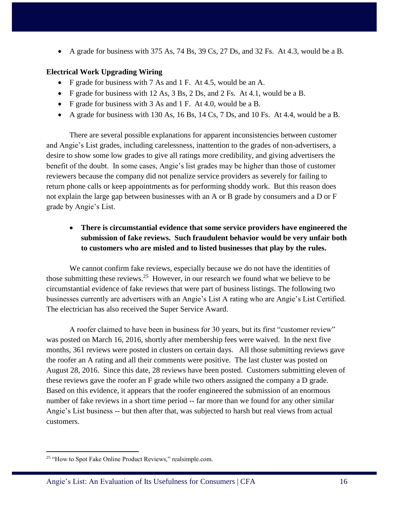A grade for business with 375 As, 74 Bs, 39 Cs, 27 Ds, and 32 Fs. At 4.3, would be a B.

#### **Electrical Work Upgrading Wiring**

- F grade for business with 7 As and 1 F. At 4.5, would be an A.
- F grade for business with 12 As, 3 Bs, 2 Ds, and 2 Fs. At 4.1, would be a B.
- F grade for business with 3 As and 1 F. At 4.0, would be a B.
- A grade for business with 130 As, 16 Bs, 14 Cs, 7 Ds, and 10 Fs. At 4.4, would be a B.

There are several possible explanations for apparent inconsistencies between customer and Angie's List grades, including carelessness, inattention to the grades of non-advertisers, a desire to show some low grades to give all ratings more credibility, and giving advertisers the benefit of the doubt. In some cases, Angie's list grades may be higher than those of customer reviewers because the company did not penalize service providers as severely for failing to return phone calls or keep appointments as for performing shoddy work. But this reason does not explain the large gap between businesses with an A or B grade by consumers and a D or F grade by Angie's List.

## **There is circumstantial evidence that some service providers have engineered the submission of fake reviews. Such fraudulent behavior would be very unfair both to customers who are misled and to listed businesses that play by the rules.**

We cannot confirm fake reviews, especially because we do not have the identities of those submitting these reviews.<sup>25</sup> However, in our research we found what we believe to be circumstantial evidence of fake reviews that were part of business listings. The following two businesses currently are advertisers with an Angie's List A rating who are Angie's List Certified. The electrician has also received the Super Service Award.

A roofer claimed to have been in business for 30 years, but its first "customer review" was posted on March 16, 2016, shortly after membership fees were waived. In the next five months, 361 reviews were posted in clusters on certain days. All those submitting reviews gave the roofer an A rating and all their comments were positive. The last cluster was posted on August 28, 2016. Since this date, 28 reviews have been posted. Customers submitting eleven of these reviews gave the roofer an F grade while two others assigned the company a D grade. Based on this evidence, it appears that the roofer engineered the submission of an enormous number of fake reviews in a short time period -- far more than we found for any other similar Angie's List business -- but then after that, was subjected to harsh but real views from actual customers.

<sup>&</sup>lt;sup>25</sup> "How to Spot Fake Online Product Reviews," realsimple.com.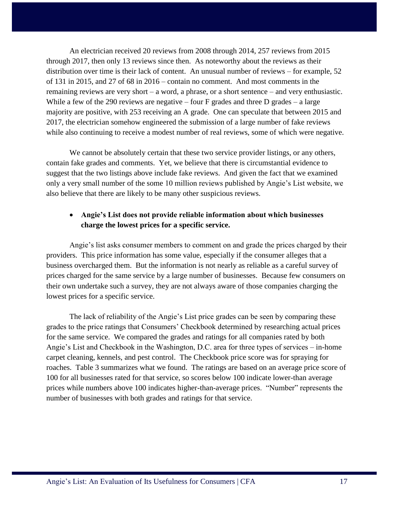An electrician received 20 reviews from 2008 through 2014, 257 reviews from 2015 through 2017, then only 13 reviews since then. As noteworthy about the reviews as their distribution over time is their lack of content. An unusual number of reviews – for example, 52 of 131 in 2015, and 27 of 68 in 2016 – contain no comment. And most comments in the remaining reviews are very short – a word, a phrase, or a short sentence – and very enthusiastic. While a few of the 290 reviews are negative – four  $F$  grades and three  $D$  grades – a large majority are positive, with 253 receiving an A grade. One can speculate that between 2015 and 2017, the electrician somehow engineered the submission of a large number of fake reviews while also continuing to receive a modest number of real reviews, some of which were negative.

We cannot be absolutely certain that these two service provider listings, or any others, contain fake grades and comments. Yet, we believe that there is circumstantial evidence to suggest that the two listings above include fake reviews. And given the fact that we examined only a very small number of the some 10 million reviews published by Angie's List website, we also believe that there are likely to be many other suspicious reviews.

### **Angie's List does not provide reliable information about which businesses charge the lowest prices for a specific service.**

Angie's list asks consumer members to comment on and grade the prices charged by their providers. This price information has some value, especially if the consumer alleges that a business overcharged them. But the information is not nearly as reliable as a careful survey of prices charged for the same service by a large number of businesses. Because few consumers on their own undertake such a survey, they are not always aware of those companies charging the lowest prices for a specific service.

The lack of reliability of the Angie's List price grades can be seen by comparing these grades to the price ratings that Consumers' Checkbook determined by researching actual prices for the same service. We compared the grades and ratings for all companies rated by both Angie's List and Checkbook in the Washington, D.C. area for three types of services – in-home carpet cleaning, kennels, and pest control. The Checkbook price score was for spraying for roaches. Table 3 summarizes what we found. The ratings are based on an average price score of 100 for all businesses rated for that service, so scores below 100 indicate lower-than average prices while numbers above 100 indicates higher-than-average prices. "Number" represents the number of businesses with both grades and ratings for that service.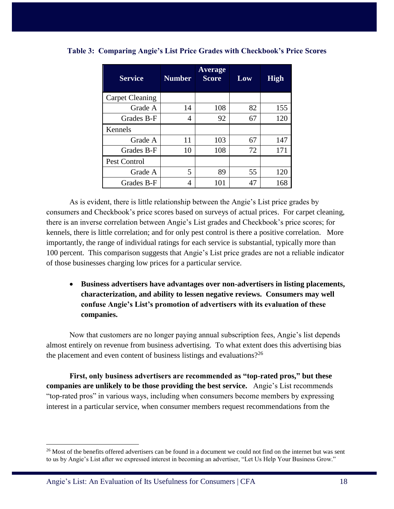| <b>Service</b>         | <b>Number</b> | Average<br><b>Score</b> | Low | <b>High</b> |
|------------------------|---------------|-------------------------|-----|-------------|
| <b>Carpet Cleaning</b> |               |                         |     |             |
| Grade A                | 14            | 108                     | 82  | 155         |
| Grades B-F             | 4             | 92                      | 67  | 120         |
| Kennels                |               |                         |     |             |
| Grade A                | 11            | 103                     | 67  | 147         |
| Grades B-F             | 10            | 108                     | 72  | 171         |
| Pest Control           |               |                         |     |             |
| Grade A                | 5             | 89                      | 55  | 120         |
| Grades B-F             | 4             | 101                     | 47  | 168         |

<span id="page-17-0"></span>**Table 3: Comparing Angie's List Price Grades with Checkbook's Price Scores**

As is evident, there is little relationship between the Angie's List price grades by consumers and Checkbook's price scores based on surveys of actual prices. For carpet cleaning, there is an inverse correlation between Angie's List grades and Checkbook's price scores; for kennels, there is little correlation; and for only pest control is there a positive correlation. More importantly, the range of individual ratings for each service is substantial, typically more than 100 percent. This comparison suggests that Angie's List price grades are not a reliable indicator of those businesses charging low prices for a particular service.

 **Business advertisers have advantages over non-advertisers in listing placements, characterization, and ability to lessen negative reviews. Consumers may well confuse Angie's List's promotion of advertisers with its evaluation of these companies.** 

Now that customers are no longer paying annual subscription fees, Angie's list depends almost entirely on revenue from business advertising. To what extent does this advertising bias the placement and even content of business listings and evaluations?<sup>26</sup>

**First, only business advertisers are recommended as "top-rated pros," but these companies are unlikely to be those providing the best service.** Angie's List recommends "top-rated pros" in various ways, including when consumers become members by expressing interest in a particular service, when consumer members request recommendations from the

 $26$  Most of the benefits offered advertisers can be found in a document we could not find on the internet but was sent to us by Angie's List after we expressed interest in becoming an advertiser, "Let Us Help Your Business Grow."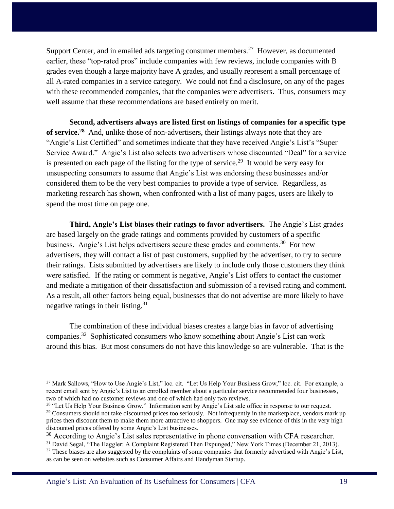Support Center, and in emailed ads targeting consumer members.<sup>27</sup> However, as documented earlier, these "top-rated pros" include companies with few reviews, include companies with B grades even though a large majority have A grades, and usually represent a small percentage of all A-rated companies in a service category. We could not find a disclosure, on any of the pages with these recommended companies, that the companies were advertisers. Thus, consumers may well assume that these recommendations are based entirely on merit.

**Second, advertisers always are listed first on listings of companies for a specific type of service.<sup>28</sup>** And, unlike those of non-advertisers, their listings always note that they are "Angie's List Certified" and sometimes indicate that they have received Angie's List's "Super Service Award." Angie's List also selects two advertisers whose discounted "Deal" for a service is presented on each page of the listing for the type of service.<sup>29</sup> It would be very easy for unsuspecting consumers to assume that Angie's List was endorsing these businesses and/or considered them to be the very best companies to provide a type of service. Regardless, as marketing research has shown, when confronted with a list of many pages, users are likely to spend the most time on page one.

**Third, Angie's List biases their ratings to favor advertisers.** The Angie's List grades are based largely on the grade ratings and comments provided by customers of a specific business. Angie's List helps advertisers secure these grades and comments.<sup>30</sup> For new advertisers, they will contact a list of past customers, supplied by the advertiser, to try to secure their ratings. Lists submitted by advertisers are likely to include only those customers they think were satisfied. If the rating or comment is negative, Angie's List offers to contact the customer and mediate a mitigation of their dissatisfaction and submission of a revised rating and comment. As a result, all other factors being equal, businesses that do not advertise are more likely to have negative ratings in their listing.<sup>31</sup>

The combination of these individual biases creates a large bias in favor of advertising companies.<sup>32</sup> Sophisticated consumers who know something about Angie's List can work around this bias. But most consumers do not have this knowledge so are vulnerable. That is the

<sup>&</sup>lt;sup>27</sup> Mark Sallows, "How to Use Angie's List," loc. cit. "Let Us Help Your Business Grow," loc. cit. For example, a recent email sent by Angie's List to an enrolled member about a particular service recommended four businesses, two of which had no customer reviews and one of which had only two reviews.

<sup>&</sup>lt;sup>28</sup> "Let Us Help Your Business Grow." Information sent by Angie's List sale office in response to our request. <sup>29</sup> Consumers should not take discounted prices too seriously. Not infrequently in the marketplace, vendors mark up prices then discount them to make them more attractive to shoppers. One may see evidence of this in the very high discounted prices offered by some Angie's List businesses.

<sup>&</sup>lt;sup>30</sup> According to Angie's List sales representative in phone conversation with CFA researcher.

<sup>31</sup> David Segal, "The Haggler: A Complaint Registered Then Expunged," New York Times (December 21, 2013).  $32$  These biases are also suggested by the complaints of some companies that formerly advertised with Angie's List, as can be seen on websites such as Consumer Affairs and Handyman Startup.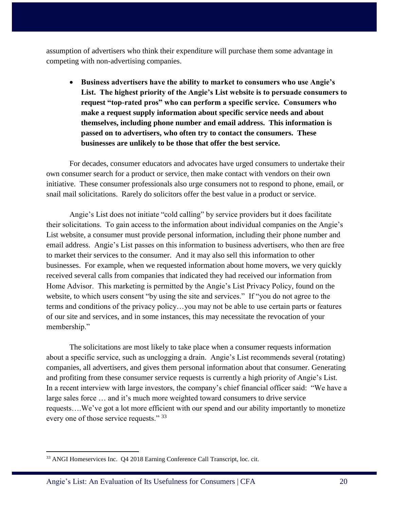assumption of advertisers who think their expenditure will purchase them some advantage in competing with non-advertising companies.

 **Business advertisers have the ability to market to consumers who use Angie's List. The highest priority of the Angie's List website is to persuade consumers to request "top-rated pros" who can perform a specific service. Consumers who make a request supply information about specific service needs and about themselves, including phone number and email address. This information is passed on to advertisers, who often try to contact the consumers. These businesses are unlikely to be those that offer the best service.** 

For decades, consumer educators and advocates have urged consumers to undertake their own consumer search for a product or service, then make contact with vendors on their own initiative. These consumer professionals also urge consumers not to respond to phone, email, or snail mail solicitations. Rarely do solicitors offer the best value in a product or service.

Angie's List does not initiate "cold calling" by service providers but it does facilitate their solicitations. To gain access to the information about individual companies on the Angie's List website, a consumer must provide personal information, including their phone number and email address. Angie's List passes on this information to business advertisers, who then are free to market their services to the consumer. And it may also sell this information to other businesses. For example, when we requested information about home movers, we very quickly received several calls from companies that indicated they had received our information from Home Advisor. This marketing is permitted by the Angie's List Privacy Policy, found on the website, to which users consent "by using the site and services." If "you do not agree to the terms and conditions of the privacy policy…you may not be able to use certain parts or features of our site and services, and in some instances, this may necessitate the revocation of your membership."

The solicitations are most likely to take place when a consumer requests information about a specific service, such as unclogging a drain. Angie's List recommends several (rotating) companies, all advertisers, and gives them personal information about that consumer. Generating and profiting from these consumer service requests is currently a high priority of Angie's List. In a recent interview with large investors, the company's chief financial officer said: "We have a large sales force … and it's much more weighted toward consumers to drive service requests….We've got a lot more efficient with our spend and our ability importantly to monetize every one of those service requests." 33

<sup>33</sup> ANGI Homeservices Inc. Q4 2018 Earning Conference Call Transcript, loc. cit.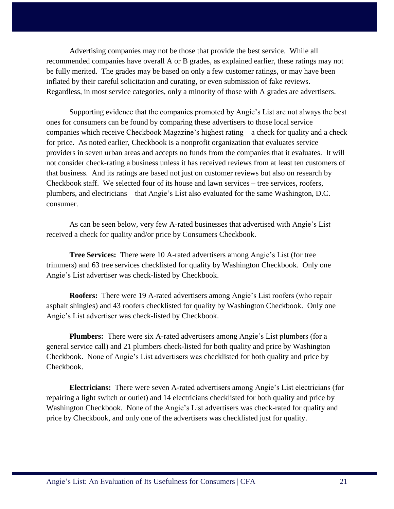Advertising companies may not be those that provide the best service. While all recommended companies have overall A or B grades, as explained earlier, these ratings may not be fully merited. The grades may be based on only a few customer ratings, or may have been inflated by their careful solicitation and curating, or even submission of fake reviews. Regardless, in most service categories, only a minority of those with A grades are advertisers.

Supporting evidence that the companies promoted by Angie's List are not always the best ones for consumers can be found by comparing these advertisers to those local service companies which receive Checkbook Magazine's highest rating – a check for quality and a check for price. As noted earlier, Checkbook is a nonprofit organization that evaluates service providers in seven urban areas and accepts no funds from the companies that it evaluates. It will not consider check-rating a business unless it has received reviews from at least ten customers of that business. And its ratings are based not just on customer reviews but also on research by Checkbook staff. We selected four of its house and lawn services – tree services, roofers, plumbers, and electricians – that Angie's List also evaluated for the same Washington, D.C. consumer.

As can be seen below, very few A-rated businesses that advertised with Angie's List received a check for quality and/or price by Consumers Checkbook.

**Tree Services:** There were 10 A-rated advertisers among Angie's List (for tree trimmers) and 63 tree services checklisted for quality by Washington Checkbook. Only one Angie's List advertiser was check-listed by Checkbook.

**Roofers:** There were 19 A-rated advertisers among Angie's List roofers (who repair asphalt shingles) and 43 roofers checklisted for quality by Washington Checkbook. Only one Angie's List advertiser was check-listed by Checkbook.

**Plumbers:** There were six A-rated advertisers among Angie's List plumbers (for a general service call) and 21 plumbers check-listed for both quality and price by Washington Checkbook. None of Angie's List advertisers was checklisted for both quality and price by Checkbook.

**Electricians:** There were seven A-rated advertisers among Angie's List electricians (for repairing a light switch or outlet) and 14 electricians checklisted for both quality and price by Washington Checkbook. None of the Angie's List advertisers was check-rated for quality and price by Checkbook, and only one of the advertisers was checklisted just for quality.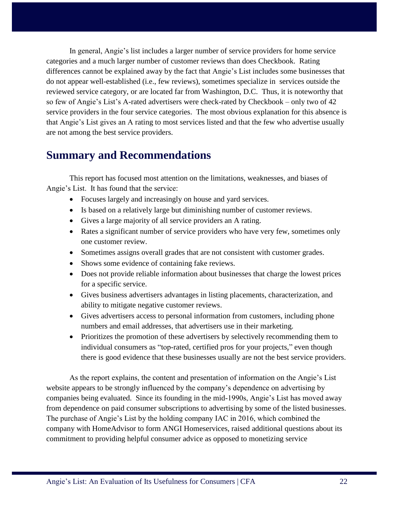In general, Angie's list includes a larger number of service providers for home service categories and a much larger number of customer reviews than does Checkbook. Rating differences cannot be explained away by the fact that Angie's List includes some businesses that do not appear well-established (i.e., few reviews), sometimes specialize in services outside the reviewed service category, or are located far from Washington, D.C. Thus, it is noteworthy that so few of Angie's List's A-rated advertisers were check-rated by Checkbook – only two of 42 service providers in the four service categories. The most obvious explanation for this absence is that Angie's List gives an A rating to most services listed and that the few who advertise usually are not among the best service providers.

# <span id="page-21-0"></span>**Summary and Recommendations**

This report has focused most attention on the limitations, weaknesses, and biases of Angie's List. It has found that the service:

- Focuses largely and increasingly on house and yard services.
- Is based on a relatively large but diminishing number of customer reviews.
- Gives a large majority of all service providers an A rating.
- Rates a significant number of service providers who have very few, sometimes only one customer review.
- Sometimes assigns overall grades that are not consistent with customer grades.
- Shows some evidence of containing fake reviews.
- Does not provide reliable information about businesses that charge the lowest prices for a specific service.
- Gives business advertisers advantages in listing placements, characterization, and ability to mitigate negative customer reviews.
- Gives advertisers access to personal information from customers, including phone numbers and email addresses, that advertisers use in their marketing.
- Prioritizes the promotion of these advertisers by selectively recommending them to individual consumers as "top-rated, certified pros for your projects," even though there is good evidence that these businesses usually are not the best service providers.

As the report explains, the content and presentation of information on the Angie's List website appears to be strongly influenced by the company's dependence on advertising by companies being evaluated. Since its founding in the mid-1990s, Angie's List has moved away from dependence on paid consumer subscriptions to advertising by some of the listed businesses. The purchase of Angie's List by the holding company IAC in 2016, which combined the company with HomeAdvisor to form ANGI Homeservices, raised additional questions about its commitment to providing helpful consumer advice as opposed to monetizing service